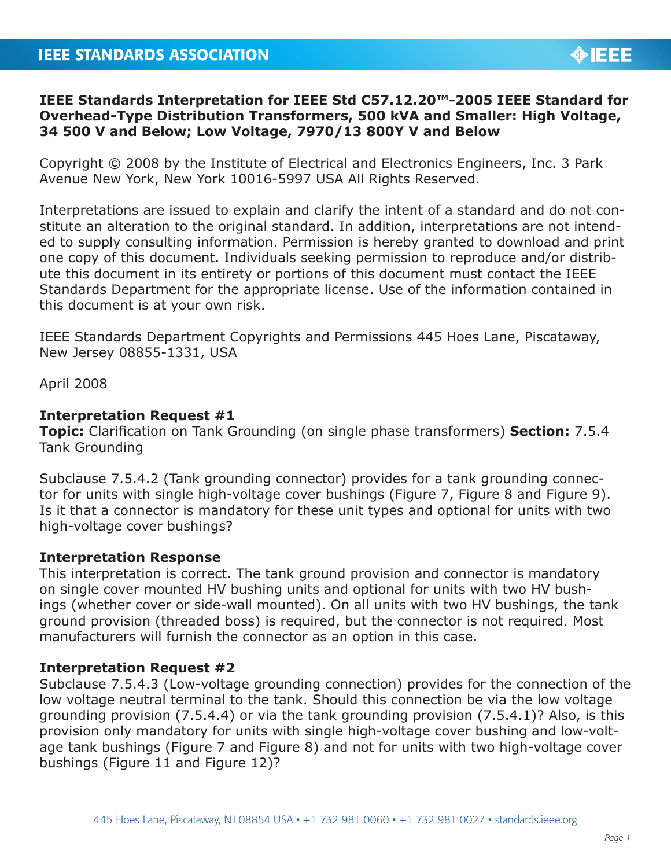# **IEEE Standards Interpretation for IEEE Std C57.12.20™-2005 IEEE Standard for Overhead-Type Distribution Transformers, 500 kVA and Smaller: High Voltage, 34 500 V and Below; Low Voltage, 7970/13 800Y V and Below**

Copyright © 2008 by the Institute of Electrical and Electronics Engineers, Inc. 3 Park Avenue New York, New York 10016-5997 USA All Rights Reserved.

Interpretations are issued to explain and clarify the intent of a standard and do not constitute an alteration to the original standard. In addition, interpretations are not intended to supply consulting information. Permission is hereby granted to download and print one copy of this document. Individuals seeking permission to reproduce and/or distribute this document in its entirety or portions of this document must contact the IEEE Standards Department for the appropriate license. Use of the information contained in this document is at your own risk.

IEEE Standards Department Copyrights and Permissions 445 Hoes Lane, Piscataway, New Jersey 08855-1331, USA

April 2008

### **Interpretation Request #1**

**Topic:** Clarification on Tank Grounding (on single phase transformers) **Section:** 7.5.4 Tank Grounding

Subclause 7.5.4.2 (Tank grounding connector) provides for a tank grounding connector for units with single high-voltage cover bushings (Figure 7, Figure 8 and Figure 9). Is it that a connector is mandatory for these unit types and optional for units with two high-voltage cover bushings?

### **Interpretation Response**

This interpretation is correct. The tank ground provision and connector is mandatory on single cover mounted HV bushing units and optional for units with two HV bushings (whether cover or side-wall mounted). On all units with two HV bushings, the tank ground provision (threaded boss) is required, but the connector is not required. Most manufacturers will furnish the connector as an option in this case.

## **Interpretation Request #2**

Subclause 7.5.4.3 (Low-voltage grounding connection) provides for the connection of the low voltage neutral terminal to the tank. Should this connection be via the low voltage grounding provision (7.5.4.4) or via the tank grounding provision (7.5.4.1)? Also, is this provision only mandatory for units with single high-voltage cover bushing and low-voltage tank bushings (Figure 7 and Figure 8) and not for units with two high-voltage cover bushings (Figure 11 and Figure 12)?